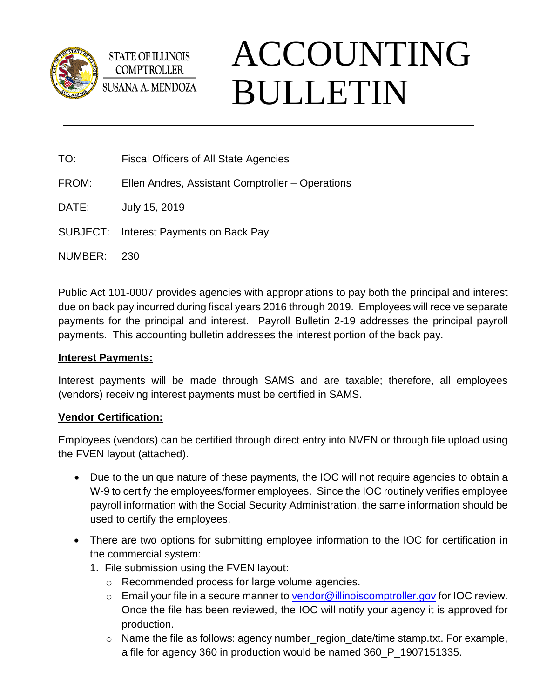

**STATE OF ILLINOIS COMPTROLLER** SUSANA A. MENDOZA

# ACCOUNTING BULLETIN

- TO: Fiscal Officers of All State Agencies
- FROM: Ellen Andres, Assistant Comptroller Operations
- DATE: July 15, 2019
- SUBJECT: Interest Payments on Back Pay
- NUMBER: 230

Public Act 101-0007 provides agencies with appropriations to pay both the principal and interest due on back pay incurred during fiscal years 2016 through 2019. Employees will receive separate payments for the principal and interest. Payroll Bulletin 2-19 addresses the principal payroll payments. This accounting bulletin addresses the interest portion of the back pay.

#### **Interest Payments:**

Interest payments will be made through SAMS and are taxable; therefore, all employees (vendors) receiving interest payments must be certified in SAMS.

#### **Vendor Certification:**

Employees (vendors) can be certified through direct entry into NVEN or through file upload using the FVEN layout (attached).

- Due to the unique nature of these payments, the IOC will not require agencies to obtain a W-9 to certify the employees/former employees. Since the IOC routinely verifies employee payroll information with the Social Security Administration, the same information should be used to certify the employees.
- There are two options for submitting employee information to the IOC for certification in the commercial system:
	- 1. File submission using the FVEN layout:
		- o Recommended process for large volume agencies.
		- o Email your file in a secure manner to [vendor@illinoiscomptroller.gov](mailto:vendor@illinoiscomptroller.gov) for IOC review. Once the file has been reviewed, the IOC will notify your agency it is approved for production.
		- o Name the file as follows: agency number\_region\_date/time stamp.txt. For example, a file for agency 360 in production would be named 360\_P\_1907151335.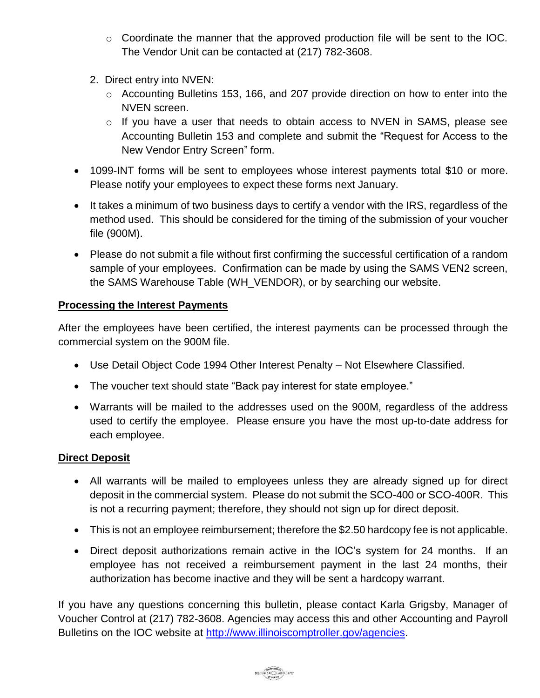- o Coordinate the manner that the approved production file will be sent to the IOC. The Vendor Unit can be contacted at (217) 782-3608.
- 2. Direct entry into NVEN:
	- o Accounting Bulletins 153, 166, and 207 provide direction on how to enter into the NVEN screen.
	- o If you have a user that needs to obtain access to NVEN in SAMS, please see Accounting Bulletin 153 and complete and submit the "Request for Access to the New Vendor Entry Screen" form.
- 1099-INT forms will be sent to employees whose interest payments total \$10 or more. Please notify your employees to expect these forms next January.
- It takes a minimum of two business days to certify a vendor with the IRS, regardless of the method used. This should be considered for the timing of the submission of your voucher file (900M).
- Please do not submit a file without first confirming the successful certification of a random sample of your employees. Confirmation can be made by using the SAMS VEN2 screen, the SAMS Warehouse Table (WH\_VENDOR), or by searching our website.

### **Processing the Interest Payments**

After the employees have been certified, the interest payments can be processed through the commercial system on the 900M file.

- Use Detail Object Code 1994 Other Interest Penalty Not Elsewhere Classified.
- The voucher text should state "Back pay interest for state employee."
- Warrants will be mailed to the addresses used on the 900M, regardless of the address used to certify the employee. Please ensure you have the most up-to-date address for each employee.

#### **Direct Deposit**

- All warrants will be mailed to employees unless they are already signed up for direct deposit in the commercial system. Please do not submit the SCO-400 or SCO-400R. This is not a recurring payment; therefore, they should not sign up for direct deposit.
- This is not an employee reimbursement; therefore the \$2.50 hardcopy fee is not applicable.
- Direct deposit authorizations remain active in the IOC's system for 24 months. If an employee has not received a reimbursement payment in the last 24 months, their authorization has become inactive and they will be sent a hardcopy warrant.

If you have any questions concerning this bulletin, please contact Karla Grigsby, Manager of Voucher Control at (217) 782-3608. Agencies may access this and other Accounting and Payroll Bulletins on the IOC website at [http://www.illinoiscomptroller.gov/agencies.](http://www.illinoiscomptroller.gov/agencies)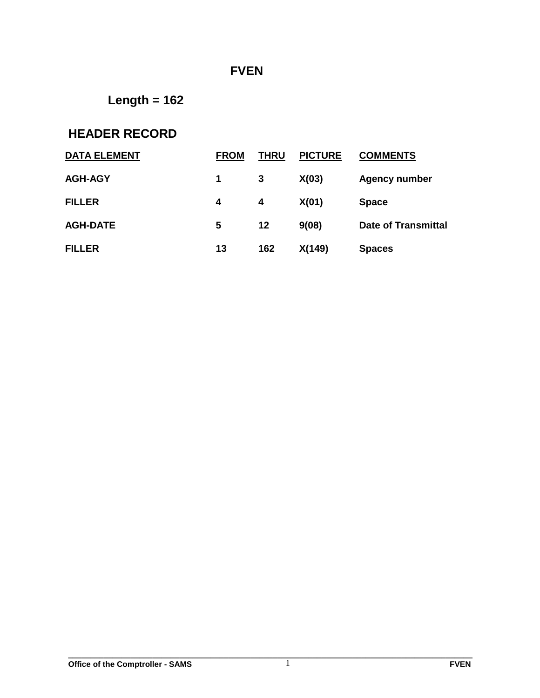## **FVEN**

**Length = 162**

## **HEADER RECORD**

| <b>DATA ELEMENT</b> | <b>FROM</b> | <b>THRU</b> | <b>PICTURE</b> | <b>COMMENTS</b>            |
|---------------------|-------------|-------------|----------------|----------------------------|
| <b>AGH-AGY</b>      | 1           | 3           | X(03)          | <b>Agency number</b>       |
| <b>FILLER</b>       | 4           | 4           | X(01)          | <b>Space</b>               |
| <b>AGH-DATE</b>     | 5           | 12          | 9(08)          | <b>Date of Transmittal</b> |
| <b>FILLER</b>       | 13          | 162         | X(149)         | <b>Spaces</b>              |